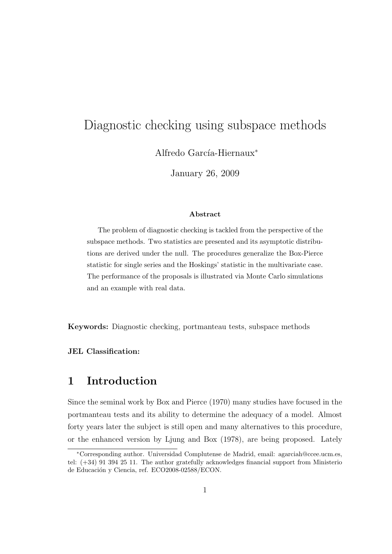# Diagnostic checking using subspace methods

Alfredo García-Hiernaux<sup>∗</sup>

January 26, 2009

#### Abstract

The problem of diagnostic checking is tackled from the perspective of the subspace methods. Two statistics are presented and its asymptotic distributions are derived under the null. The procedures generalize the Box-Pierce statistic for single series and the Hoskings' statistic in the multivariate case. The performance of the proposals is illustrated via Monte Carlo simulations and an example with real data.

Keywords: Diagnostic checking, portmanteau tests, subspace methods

#### JEL Classification:

# 1 Introduction

Since the seminal work by Box and Pierce (1970) many studies have focused in the portmanteau tests and its ability to determine the adequacy of a model. Almost forty years later the subject is still open and many alternatives to this procedure, or the enhanced version by Ljung and Box (1978), are being proposed. Lately

<sup>∗</sup>Corresponding author. Universidad Complutense de Madrid, email: agarciah@ccee.ucm.es, tel: (+34) 91 394 25 11. The author gratefully acknowledges financial support from Ministerio de Educación y Ciencia, ref. ECO2008-02588/ECON.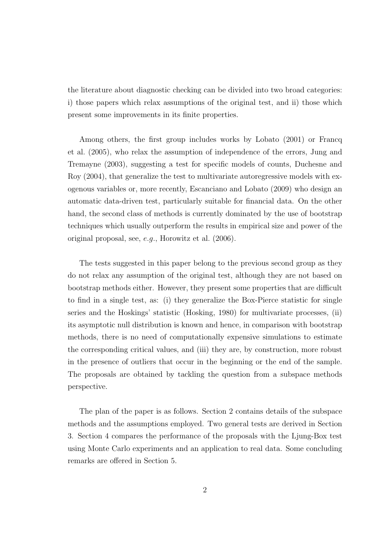the literature about diagnostic checking can be divided into two broad categories: i) those papers which relax assumptions of the original test, and ii) those which present some improvements in its finite properties.

Among others, the first group includes works by Lobato (2001) or Francq et al. (2005), who relax the assumption of independence of the errors, Jung and Tremayne (2003), suggesting a test for specific models of counts, Duchesne and Roy (2004), that generalize the test to multivariate autoregressive models with exogenous variables or, more recently, Escanciano and Lobato (2009) who design an automatic data-driven test, particularly suitable for financial data. On the other hand, the second class of methods is currently dominated by the use of bootstrap techniques which usually outperform the results in empirical size and power of the original proposal, see, e.g., Horowitz et al. (2006).

The tests suggested in this paper belong to the previous second group as they do not relax any assumption of the original test, although they are not based on bootstrap methods either. However, they present some properties that are difficult to find in a single test, as: (i) they generalize the Box-Pierce statistic for single series and the Hoskings' statistic (Hosking, 1980) for multivariate processes, (ii) its asymptotic null distribution is known and hence, in comparison with bootstrap methods, there is no need of computationally expensive simulations to estimate the corresponding critical values, and (iii) they are, by construction, more robust in the presence of outliers that occur in the beginning or the end of the sample. The proposals are obtained by tackling the question from a subspace methods perspective.

The plan of the paper is as follows. Section 2 contains details of the subspace methods and the assumptions employed. Two general tests are derived in Section 3. Section 4 compares the performance of the proposals with the Ljung-Box test using Monte Carlo experiments and an application to real data. Some concluding remarks are offered in Section 5.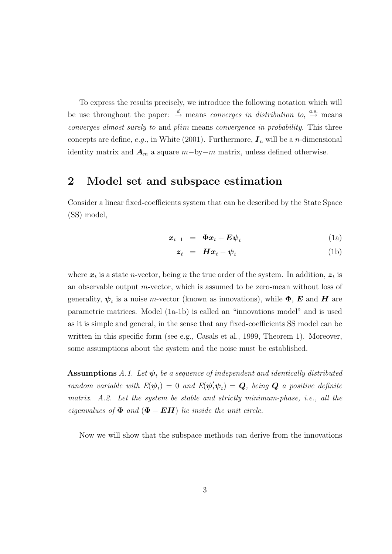To express the results precisely, we introduce the following notation which will be use throughout the paper:  $\stackrel{d}{\rightarrow}$  means *converges in distribution to*,  $\stackrel{a.s.}{\rightarrow}$  means converges almost surely to and plim means convergence in probability. This three concepts are define, e.g., in White (2001). Furthermore,  $I_n$  will be a *n*-dimensional identity matrix and  $A_m$  a square  $m$ -by-m matrix, unless defined otherwise.

## 2 Model set and subspace estimation

Consider a linear fixed-coefficients system that can be described by the State Space (SS) model,

$$
\boldsymbol{x}_{t+1} = \boldsymbol{\Phi} \boldsymbol{x}_t + \boldsymbol{E} \boldsymbol{\psi}_t \tag{1a}
$$

$$
z_t = H x_t + \psi_t \tag{1b}
$$

where  $x_t$  is a state *n*-vector, being *n* the true order of the system. In addition,  $z_t$  is an observable output m-vector, which is assumed to be zero-mean without loss of generality,  $\psi_t$  is a noise *m*-vector (known as innovations), while  $\Phi$ , *E* and *H* are parametric matrices. Model (1a-1b) is called an "innovations model" and is used as it is simple and general, in the sense that any fixed-coefficients SS model can be written in this specific form (see e.g., Casals et al., 1999, Theorem 1). Moreover, some assumptions about the system and the noise must be established.

**Assumptions** A.1. Let  $\psi_t$  be a sequence of independent and identically distributed random variable with  $E(\psi_t) = 0$  and  $E(\psi_t' \psi_t) = Q$ , being  $Q$  a positive definite matrix. A.2. Let the system be stable and strictly minimum-phase, i.e., all the eigenvalues of  $\Phi$  and  $(\Phi - EH)$  lie inside the unit circle.

Now we will show that the subspace methods can derive from the innovations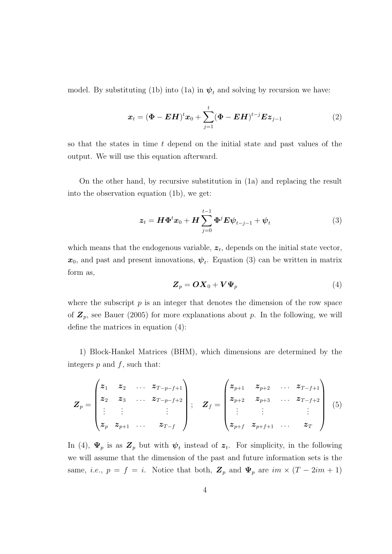model. By substituting (1b) into (1a) in  $\psi_t$  and solving by recursion we have:

$$
x_{t} = (\Phi - EH)^{t} x_{0} + \sum_{j=1}^{t} (\Phi - EH)^{t-j} E z_{j-1}
$$
 (2)

so that the states in time t depend on the initial state and past values of the output. We will use this equation afterward.

On the other hand, by recursive substitution in (1a) and replacing the result into the observation equation (1b), we get:

$$
\boldsymbol{z}_t = \boldsymbol{H} \boldsymbol{\Phi}^t \boldsymbol{x}_0 + \boldsymbol{H} \sum_{j=0}^{t-1} \boldsymbol{\Phi}^j \boldsymbol{E} \boldsymbol{\psi}_{t-j-1} + \boldsymbol{\psi}_t \tag{3}
$$

which means that the endogenous variable,  $z_t$ , depends on the initial state vector,  $x_0$ , and past and present innovations,  $\psi_t$ . Equation (3) can be written in matrix form as,

$$
\boldsymbol{Z}_p = \boldsymbol{O} \boldsymbol{X}_0 + \boldsymbol{V} \boldsymbol{\Psi}_p \tag{4}
$$

where the subscript  $p$  is an integer that denotes the dimension of the row space of  $\mathbf{Z}_p$ , see Bauer (2005) for more explanations about p. In the following, we will define the matrices in equation (4):

1) Block-Hankel Matrices (BHM), which dimensions are determined by the integers  $p$  and  $f$ , such that:

$$
\boldsymbol{Z}_{p} = \begin{pmatrix} z_{1} & z_{2} & \dots & z_{T-p-f+1} \\ z_{2} & z_{3} & \dots & z_{T-p-f+2} \\ \vdots & \vdots & & \vdots \\ z_{p} & z_{p+1} & \dots & z_{T-f} \end{pmatrix}; \quad \boldsymbol{Z}_{f} = \begin{pmatrix} z_{p+1} & z_{p+2} & \dots & z_{T-f+1} \\ z_{p+2} & z_{p+3} & \dots & z_{T-f+2} \\ \vdots & \vdots & & \vdots \\ z_{p+f} & z_{p+f+1} & \dots & z_{T} \end{pmatrix} (5)
$$

In (4),  $\Psi_p$  is as  $\mathbf{Z}_p$  but with  $\psi_t$  instead of  $\mathbf{z}_t$ . For simplicity, in the following we will assume that the dimension of the past and future information sets is the same, *i.e.*,  $p = f = i$ . Notice that both,  $\mathbb{Z}_p$  and  $\Psi_p$  are  $im \times (T - 2im + 1)$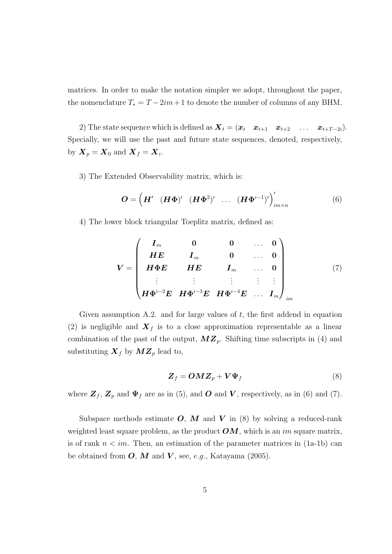matrices. In order to make the notation simpler we adopt, throughout the paper, the nomenclature  $T_* = T - 2im + 1$  to denote the number of columns of any BHM.

2) The state sequence which is defined as  $\mathbf{X}_t = (\mathbf{x}_t \ \mathbf{x}_{t+1} \ \mathbf{x}_{t+2} \ \ldots \ \mathbf{x}_{t+T-2i}).$ Specially, we will use the past and future state sequences, denoted, respectively, by  $\boldsymbol{X}_p = \boldsymbol{X}_0 \text{ and } \boldsymbol{X}_f = \boldsymbol{X}_i.$ 

3) The Extended Observability matrix, which is:

$$
\boldsymbol{O} = \left(\boldsymbol{H}' \left(\boldsymbol{H}\boldsymbol{\Phi}\right)' \left(\boldsymbol{H}\boldsymbol{\Phi}^2\right)' \cdots \left(\boldsymbol{H}\boldsymbol{\Phi}^{i-1}\right)'\right)'_{im\times n} \tag{6}
$$

4) The lower block triangular Toeplitz matrix, defined as:

$$
V = \begin{pmatrix} I_m & 0 & 0 & \dots & 0 \\ HE & I_m & 0 & \dots & 0 \\ H\Phi E & HE & I_m & \dots & 0 \\ \vdots & \vdots & \vdots & \vdots & \vdots \\ H\Phi^{i-2}E & H\Phi^{i-3}E & H\Phi^{i-4}E & \dots & I_m \end{pmatrix}_{im}
$$
(7)

Given assumption  $A.2$ . and for large values of t, the first addend in equation (2) is negligible and  $\mathbf{X}_f$  is to a close approximation representable as a linear combination of the past of the output,  $\mathbf{M}\mathbf{Z}_p$ . Shifting time subscripts in (4) and substituting  $\mathbf{X}_f$  by  $\mathbf{M}\mathbf{Z}_p$  lead to,

$$
\boldsymbol{Z}_f = \boldsymbol{O} \boldsymbol{M} \boldsymbol{Z}_p + \boldsymbol{V} \boldsymbol{\Psi}_f \tag{8}
$$

where  $\mathbf{Z}_f$ ,  $\mathbf{Z}_p$  and  $\Psi_f$  are as in (5), and O and V, respectively, as in (6) and (7).

Subspace methods estimate  $O, M$  and  $V$  in (8) by solving a reduced-rank weighted least square problem, as the product  $\boldsymbol{OM}$ , which is an im square matrix, is of rank  $n \leq im$ . Then, an estimation of the parameter matrices in (1a-1b) can be obtained from  $O, M$  and  $V$ , see, e.g., Katayama (2005).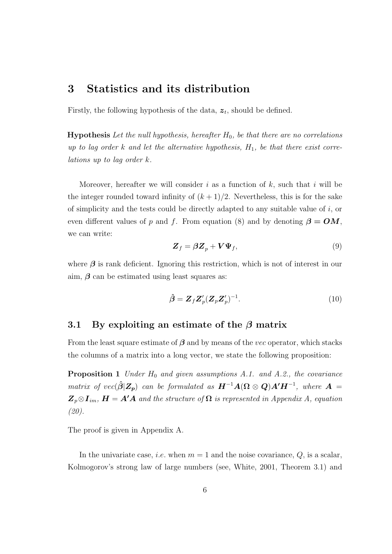# 3 Statistics and its distribution

Firstly, the following hypothesis of the data,  $z_t$ , should be defined.

**Hypothesis** Let the null hypothesis, hereafter  $H_0$ , be that there are no correlations up to lag order k and let the alternative hypothesis,  $H_1$ , be that there exist correlations up to lag order k.

Moreover, hereafter we will consider i as a function of  $k$ , such that i will be the integer rounded toward infinity of  $(k+1)/2$ . Nevertheless, this is for the sake of simplicity and the tests could be directly adapted to any suitable value of  $i$ , or even different values of p and f. From equation (8) and by denoting  $\beta = OM$ , we can write:

$$
\mathbf{Z}_f = \boldsymbol{\beta} \mathbf{Z}_p + \mathbf{V} \boldsymbol{\Psi}_f,\tag{9}
$$

where  $\beta$  is rank deficient. Ignoring this restriction, which is not of interest in our aim,  $\beta$  can be estimated using least squares as:

$$
\hat{\boldsymbol{\beta}} = \boldsymbol{Z}_f \boldsymbol{Z}_p' (\boldsymbol{Z}_p \boldsymbol{Z}_p')^{-1}.
$$
\n(10)

### 3.1 By exploiting an estimate of the  $\beta$  matrix

From the least square estimate of  $\beta$  and by means of the *vec* operator, which stacks the columns of a matrix into a long vector, we state the following proposition:

**Proposition 1** Under  $H_0$  and given assumptions A.1. and A.2., the covariance matrix of vec( $\hat{\boldsymbol{\beta}}$ |Z<sub>p</sub>) can be formulated as  $\boldsymbol{H}^{-1}\boldsymbol{A}(\boldsymbol{\Omega}\otimes \boldsymbol{Q})\boldsymbol{A}'\boldsymbol{H}^{-1}$ , where  $\boldsymbol{A}$  =  $\mathbf{Z}_p \otimes I_{im}$ ,  $\mathbf{H} = A' A$  and the structure of  $\Omega$  is represented in Appendix A, equation (20).

The proof is given in Appendix A.

In the univariate case, *i.e.* when  $m = 1$  and the noise covariance,  $Q$ , is a scalar, Kolmogorov's strong law of large numbers (see, White, 2001, Theorem 3.1) and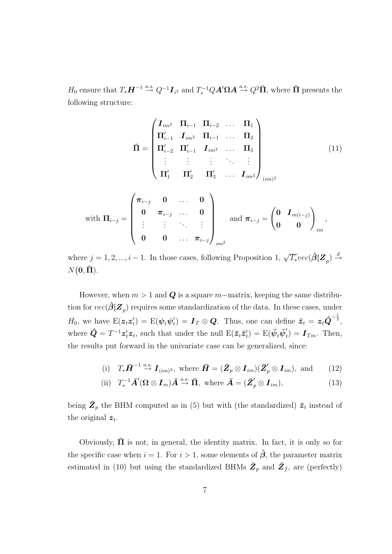$H_0$  ensure that  $T_*\boldsymbol{H}^{-1} \stackrel{a.s.}{\rightarrow} Q^{-1}\boldsymbol{I}_{i^2}$  and  $T_*^{-1}Q\boldsymbol{A}'\Omega\boldsymbol{A} \stackrel{a.s.}{\rightarrow} Q^2\bar{\Pi}$ , where  $\bar{\Pi}$  presents the following structure:

$$
\overline{\Pi} = \begin{pmatrix}\nI_{im^2} & \Pi_{i-1} & \Pi_{i-2} & \dots & \Pi_1 \\
\Pi'_{i-1} & I_{im^2} & \Pi_{i-1} & \dots & \Pi_2 \\
\Pi'_{i-2} & \Pi'_{i-1} & I_{im^2} & \dots & \Pi_3 \\
\vdots & \vdots & \vdots & \ddots & \vdots \\
\Pi'_1 & \Pi'_2 & \Pi'_3 & \dots & I_{im^2}\n\end{pmatrix}_{(im)^2}
$$
\nwith  $\Pi_{i-j} = \begin{pmatrix}\n\pi_{i-j} & 0 & \dots & 0 \\
0 & \pi_{i-j} & \dots & 0 \\
\vdots & \vdots & \ddots & \vdots \\
0 & 0 & \dots & \pi_{i-j}\n\end{pmatrix}_{im^2}$  and  $\pi_{i-j} = \begin{pmatrix}\n0 & I_{m(i-j)} \\
0 & 0\n\end{pmatrix}_{im}$ ,

where  $j = 1, 2, ..., i - 1$ . In those cases, following Proposition 1,  $\sqrt{T_*}vec(\hat{\boldsymbol{\beta}}|\mathbf{Z}_p) \stackrel{d}{\rightarrow}$  $N(\mathbf{0}, \bar{\mathbf{\Pi}}).$ 

However, when  $m > 1$  and Q is a square m–matrix, keeping the same distribution for  $vec(\hat{\boldsymbol{\beta}}|\boldsymbol{Z}_p)$  requires some standardization of the data. In these cases, under  $H_0$ , we have  $E(z_t z_t') = E(\psi_t \psi_t')$  $\mathbf{I}_t$ ) =  $\boldsymbol{I}_T \otimes \boldsymbol{Q}$ . Thus, one can define  $\bar{\boldsymbol{z}}_t = \boldsymbol{z}_t \hat{\boldsymbol{Q}}^{-\frac{1}{2}},$ where  $\hat{\bm{Q}} = T^{-1} \bm{z}'_t \bm{z}_t$ , such that under the null  $\bm{\mathrm{E}}(\bar{\bm{z}}_t \bar{\bm{z}}'_t) = \bm{\mathrm{E}}(\bar{\bm{\psi}}_t \bar{\bm{\psi}}'_t)$  $t<sub>t</sub>$ ) =  $\boldsymbol{I}_{Tm}$ . Then, the results put forward in the univariate case can be generalized, since:

(i) 
$$
T_*\bar{H}^{-1} \stackrel{a.s.}{\rightarrow} I_{(im)^2}
$$
, where  $\bar{H} = (\bar{Z}_p \otimes I_{im})(\bar{Z}'_p \otimes I_{im})$ , and (12)

(ii) 
$$
T_*^{-1} \overline{A}' (\Omega \otimes I_m) \overline{A} \stackrel{a.s.}{\rightarrow} \overline{\Pi}
$$
, where  $\overline{A} = (\overline{Z}'_p \otimes I_{im})$ , (13)

being  $\bar{Z}_p$  the BHM computed as in (5) but with (the standardized)  $\bar{z}_t$  instead of the original  $z_t$ .

Obviously,  $\overline{\mathbf{\Pi}}$  is not, in general, the identity matrix. In fact, it is only so for the specific case when  $i = 1$ . For  $i > 1$ , some elements of  $\hat{\beta}$ , the parameter matrix estimated in (10) but using the standardized BHMs  $\bar{Z}_p$  and  $\bar{Z}_f$ , are (perfectly)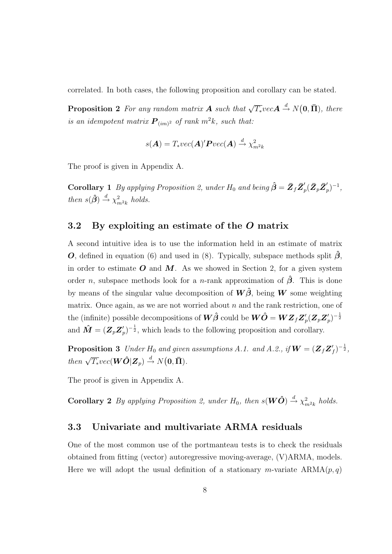correlated. In both cases, the following proposition and corollary can be stated.

**Proposition 2** For any random matrix **A** such that  $\sqrt{\overline{T_*}}$  vec $A \stackrel{d}{\rightarrow} N(0, \overline{ \Pi})$ , there is an idempotent matrix  $\boldsymbol{P}_{(im)^2}$  of rank  $m^2k$ , such that:

$$
s(\mathbf{A}) = T_* vec(\mathbf{A})' \mathbf{P} vec(\mathbf{A}) \stackrel{d}{\rightarrow} \chi^2_{m^2 k}
$$

The proof is given in Appendix A.

**Corollary 1** By applying Proposition 2, under  $H_0$  and being  $\hat{\boldsymbol{\beta}} = \bar{\boldsymbol{Z}}_f \bar{\boldsymbol{Z}}_f'$  $p'_{p}(\bar{\pmb{Z}}_{p}\bar{\pmb{Z}}_{p}'$  $'_{p})^{-1},$ then  $s(\hat{\boldsymbol{\beta}}) \stackrel{d}{\rightarrow} \chi^2_{m^2k}$  holds.

### 3.2 By exploiting an estimate of the O matrix

A second intuitive idea is to use the information held in an estimate of matrix **O**, defined in equation (6) and used in (8). Typically, subspace methods split  $\hat{\beta}$ , in order to estimate  $O$  and  $M$ . As we showed in Section 2, for a given system order *n*, subspace methods look for a *n*-rank approximation of  $\hat{\beta}$ . This is done by means of the singular value decomposition of  $\mathbf{W}\hat{\boldsymbol{\beta}}$ , being  $\mathbf{W}$  some weighting matrix. Once again, as we are not worried about  $n$  and the rank restriction, one of the (infinite) possible decompositions of  $\bm{W}\hat{\bm{\beta}}$  could be  $\bm{W}\hat{\bm{O}} = \bm{W}\bm{Z}_f\bm{Z}_f'$  $p'_{p}(\boldsymbol{Z}_{p}\boldsymbol{Z}_{p}'$  $\binom{1}{p} - \frac{1}{2}$ and  $\bm{\hat{M}} = (\bm{Z}_p\bm{Z}_p^\prime)$  $(p')^{-\frac{1}{2}}$ , which leads to the following proposition and corollary.

**Proposition 3** Under  $H_0$  and given assumptions A.1. and A.2., if  $\boldsymbol{W} = (\boldsymbol{Z}_f \boldsymbol{Z}')$  $'_{f})^{-\frac{1}{2}},$ then  $\sqrt{T_*}vec(\textbf{W}\hat{\textbf{O}}|\textbf{Z}_p) \overset{d}{\rightarrow} N(\textbf{0},\bar{\textbf{\Pi}}).$ 

The proof is given in Appendix A.

**Corollary 2** By applying Proposition 2, under  $H_0$ , then  $s(\mathbf{W}\hat{\mathbf{O}}) \stackrel{d}{\rightarrow} \chi^2_{m^2k}$  holds.

### 3.3 Univariate and multivariate ARMA residuals

One of the most common use of the portmanteau tests is to check the residuals obtained from fitting (vector) autoregressive moving-average, (V)ARMA, models. Here we will adopt the usual definition of a stationary m-variate  $ARMA(p, q)$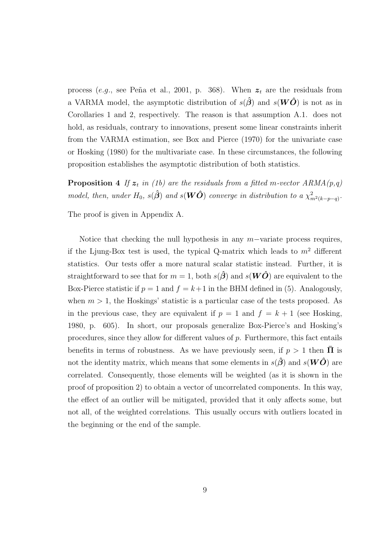process (e.g., see Peña et al., 2001, p. 368). When  $z_t$  are the residuals from a VARMA model, the asymptotic distribution of  $s(\hat{\beta})$  and  $s(W\hat{O})$  is not as in Corollaries 1 and 2, respectively. The reason is that assumption A.1. does not hold, as residuals, contrary to innovations, present some linear constraints inherit from the VARMA estimation, see Box and Pierce (1970) for the univariate case or Hosking (1980) for the multivariate case. In these circumstances, the following proposition establishes the asymptotic distribution of both statistics.

**Proposition 4** If  $z_t$  in (1b) are the residuals from a fitted m-vector  $ARMA(p,q)$ model, then, under  $H_0$ ,  $s(\hat{\boldsymbol{\beta}})$  and  $s(\boldsymbol{W}\hat{\boldsymbol{O}})$  converge in distribution to a  $\chi^2_{m^2(k-p-q)}$ .

The proof is given in Appendix A.

Notice that checking the null hypothesis in any  $m$ -variate process requires, if the Ljung-Box test is used, the typical Q-matrix which leads to  $m^2$  different statistics. Our tests offer a more natural scalar statistic instead. Further, it is straightforward to see that for  $m = 1$ , both  $s(\hat{\beta})$  and  $s(W\hat{O})$  are equivalent to the Box-Pierce statistic if  $p = 1$  and  $f = k+1$  in the BHM defined in (5). Analogously, when  $m > 1$ , the Hoskings' statistic is a particular case of the tests proposed. As in the previous case, they are equivalent if  $p = 1$  and  $f = k + 1$  (see Hosking, 1980, p. 605). In short, our proposals generalize Box-Pierce's and Hosking's procedures, since they allow for different values of p. Furthermore, this fact entails benefits in terms of robustness. As we have previously seen, if  $p > 1$  then  $\overline{\Pi}$  is not the identity matrix, which means that some elements in  $s(\hat{\beta})$  and  $s(W\hat{O})$  are correlated. Consequently, those elements will be weighted (as it is shown in the proof of proposition 2) to obtain a vector of uncorrelated components. In this way, the effect of an outlier will be mitigated, provided that it only affects some, but not all, of the weighted correlations. This usually occurs with outliers located in the beginning or the end of the sample.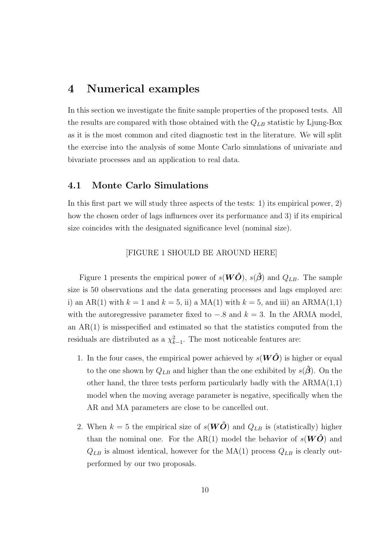### 4 Numerical examples

In this section we investigate the finite sample properties of the proposed tests. All the results are compared with those obtained with the  $Q_{LB}$  statistic by Ljung-Box as it is the most common and cited diagnostic test in the literature. We will split the exercise into the analysis of some Monte Carlo simulations of univariate and bivariate processes and an application to real data.

### 4.1 Monte Carlo Simulations

In this first part we will study three aspects of the tests: 1) its empirical power, 2) how the chosen order of lags influences over its performance and 3) if its empirical size coincides with the designated significance level (nominal size).

#### [FIGURE 1 SHOULD BE AROUND HERE]

Figure 1 presents the empirical power of  $s(W\hat{O})$ ,  $s(\hat{\beta})$  and  $Q_{LB}$ . The sample size is 50 observations and the data generating processes and lags employed are: i) an AR(1) with  $k = 1$  and  $k = 5$ , ii) a MA(1) with  $k = 5$ , and iii) an ARMA(1,1) with the autoregressive parameter fixed to  $-.8$  and  $k = 3$ . In the ARMA model, an AR(1) is misspecified and estimated so that the statistics computed from the residuals are distributed as a  $\chi^2_{k-1}$ . The most noticeable features are:

- 1. In the four cases, the empirical power achieved by  $s(W\ddot{O})$  is higher or equal to the one shown by  $Q_{LB}$  and higher than the one exhibited by  $s(\hat{\beta})$ . On the other hand, the three tests perform particularly badly with the  $ARMA(1,1)$ model when the moving average parameter is negative, specifically when the AR and MA parameters are close to be cancelled out.
- 2. When  $k = 5$  the empirical size of  $s(W\ddot{O})$  and  $Q_{LB}$  is (statistically) higher than the nominal one. For the AR(1) model the behavior of  $s(W\ddot{O})$  and  $Q_{LB}$  is almost identical, however for the MA(1) process  $Q_{LB}$  is clearly outperformed by our two proposals.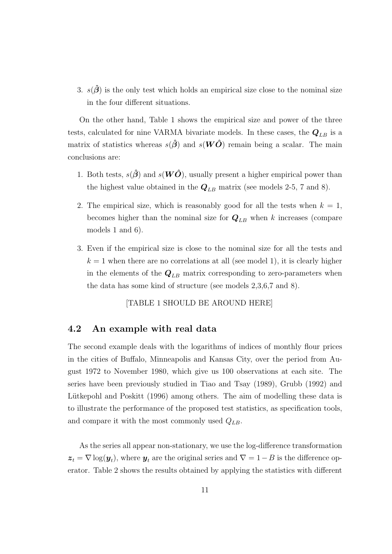3.  $s(\hat{\beta})$  is the only test which holds an empirical size close to the nominal size in the four different situations.

On the other hand, Table 1 shows the empirical size and power of the three tests, calculated for nine VARMA bivariate models. In these cases, the  $Q_{LB}$  is a matrix of statistics whereas  $s(\hat{\boldsymbol{\beta}})$  and  $s(\boldsymbol{W}\hat{\boldsymbol{O}})$  remain being a scalar. The main conclusions are:

- 1. Both tests,  $s(\hat{\boldsymbol{\beta}})$  and  $s(\boldsymbol{W}\hat{\boldsymbol{O}})$ , usually present a higher empirical power than the highest value obtained in the  $Q_{LB}$  matrix (see models 2-5, 7 and 8).
- 2. The empirical size, which is reasonably good for all the tests when  $k = 1$ , becomes higher than the nominal size for  $Q_{LB}$  when k increases (compare models 1 and 6).
- 3. Even if the empirical size is close to the nominal size for all the tests and  $k = 1$  when there are no correlations at all (see model 1), it is clearly higher in the elements of the  $Q_{LB}$  matrix corresponding to zero-parameters when the data has some kind of structure (see models 2,3,6,7 and 8).

[TABLE 1 SHOULD BE AROUND HERE]

### 4.2 An example with real data

The second example deals with the logarithms of indices of monthly flour prices in the cities of Buffalo, Minneapolis and Kansas City, over the period from August 1972 to November 1980, which give us 100 observations at each site. The series have been previously studied in Tiao and Tsay (1989), Grubb (1992) and Lütkepohl and Poskitt (1996) among others. The aim of modelling these data is to illustrate the performance of the proposed test statistics, as specification tools, and compare it with the most commonly used  $Q_{LB}$ .

As the series all appear non-stationary, we use the log-difference transformation  $\bm{z}_t = \nabla \log(\bm{y}_t)$ , where  $\bm{y}_t$  are the original series and  $\nabla = 1 - B$  is the difference operator. Table 2 shows the results obtained by applying the statistics with different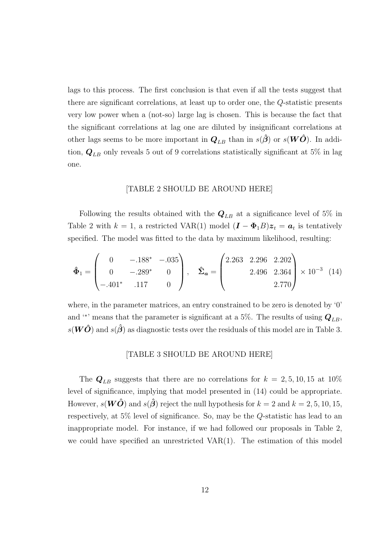lags to this process. The first conclusion is that even if all the tests suggest that there are significant correlations, at least up to order one, the Q-statistic presents very low power when a (not-so) large lag is chosen. This is because the fact that the significant correlations at lag one are diluted by insignificant correlations at other lags seems to be more important in  $Q_{LB}$  than in  $s(\hat{\beta})$  or  $s(W\hat{O})$ . In addition,  $Q_{LB}$  only reveals 5 out of 9 correlations statistically significant at 5% in lag one.

#### [TABLE 2 SHOULD BE AROUND HERE]

Following the results obtained with the  $Q_{LB}$  at a significance level of 5% in Table 2 with  $k = 1$ , a restricted VAR(1) model  $(I - \Phi_1 B)z_t = a_t$  is tentatively specified. The model was fitted to the data by maximum likelihood, resulting:

$$
\hat{\Phi}_1 = \begin{pmatrix} 0 & -.188^* & -.035 \\ 0 & -.289^* & 0 \\ -.401^* & .117 & 0 \end{pmatrix}, \quad \hat{\Sigma}_a = \begin{pmatrix} 2.263 & 2.296 & 2.202 \\ 2.496 & 2.364 \\ 2.770 \end{pmatrix} \times 10^{-3} (14)
$$

where, in the parameter matrices, an entry constrained to be zero is denoted by '0' and '<sup>\*</sup>' means that the parameter is significant at a 5%. The results of using  $Q_{LB}$ ,  $s(W\hat{O})$  and  $s(\hat{\beta})$  as diagnostic tests over the residuals of this model are in Table 3.

#### [TABLE 3 SHOULD BE AROUND HERE]

The  $Q_{LB}$  suggests that there are no correlations for  $k = 2, 5, 10, 15$  at 10% level of significance, implying that model presented in (14) could be appropriate. However,  $s(W\hat{O})$  and  $s(\hat{\beta})$  reject the null hypothesis for  $k = 2$  and  $k = 2, 5, 10, 15$ , respectively, at 5% level of significance. So, may be the Q-statistic has lead to an inappropriate model. For instance, if we had followed our proposals in Table 2, we could have specified an unrestricted VAR(1). The estimation of this model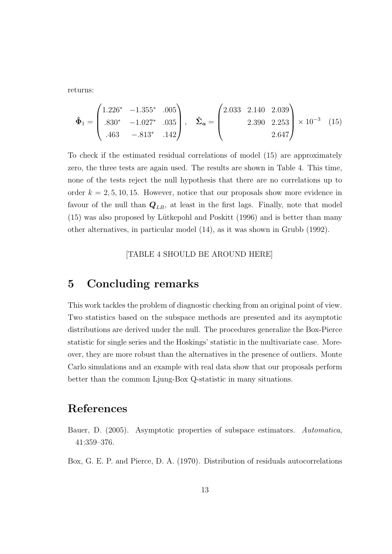returns:

$$
\hat{\Phi}_1 = \begin{pmatrix} 1.226^* & -1.355^* & .005 \\ .830^* & -1.027^* & .035 \\ .463 & -.813^* & .142 \end{pmatrix}, \quad \hat{\Sigma}_a = \begin{pmatrix} 2.033 & 2.140 & 2.039 \\ 2.390 & 2.253 \\ 2.647 \end{pmatrix} \times 10^{-3} \quad (15)
$$

To check if the estimated residual correlations of model (15) are approximately zero, the three tests are again used. The results are shown in Table 4. This time, none of the tests reject the null hypothesis that there are no correlations up to order  $k = 2, 5, 10, 15$ . However, notice that our proposals show more evidence in favour of the null than  $Q_{LB}$ , at least in the first lags. Finally, note that model (15) was also proposed by L¨utkepohl and Poskitt (1996) and is better than many other alternatives, in particular model (14), as it was shown in Grubb (1992).

[TABLE 4 SHOULD BE AROUND HERE]

### 5 Concluding remarks

This work tackles the problem of diagnostic checking from an original point of view. Two statistics based on the subspace methods are presented and its asymptotic distributions are derived under the null. The procedures generalize the Box-Pierce statistic for single series and the Hoskings' statistic in the multivariate case. Moreover, they are more robust than the alternatives in the presence of outliers. Monte Carlo simulations and an example with real data show that our proposals perform better than the common Ljung-Box Q-statistic in many situations.

# References

Bauer, D. (2005). Asymptotic properties of subspace estimators. Automatica, 41:359–376.

Box, G. E. P. and Pierce, D. A. (1970). Distribution of residuals autocorrelations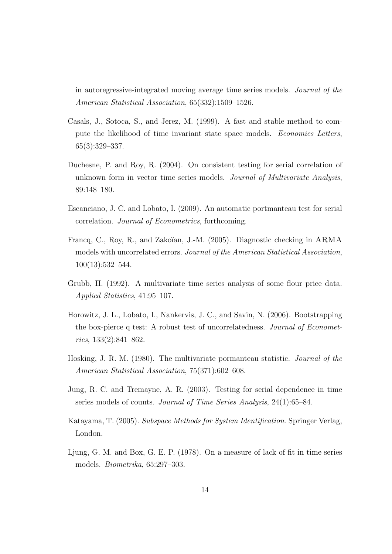in autoregressive-integrated moving average time series models. Journal of the American Statistical Association, 65(332):1509–1526.

- Casals, J., Sotoca, S., and Jerez, M. (1999). A fast and stable method to compute the likelihood of time invariant state space models. Economics Letters, 65(3):329–337.
- Duchesne, P. and Roy, R. (2004). On consistent testing for serial correlation of unknown form in vector time series models. Journal of Multivariate Analysis, 89:148–180.
- Escanciano, J. C. and Lobato, I. (2009). An automatic portmanteau test for serial correlation. Journal of Econometrics, forthcoming.
- Francq, C., Roy, R., and Zakoïan, J.-M. (2005). Diagnostic checking in ARMA models with uncorrelated errors. Journal of the American Statistical Association, 100(13):532–544.
- Grubb, H. (1992). A multivariate time series analysis of some flour price data. Applied Statistics, 41:95–107.
- Horowitz, J. L., Lobato, I., Nankervis, J. C., and Savin, N. (2006). Bootstrapping the box-pierce q test: A robust test of uncorrelatedness. Journal of Econometrics, 133(2):841–862.
- Hosking, J. R. M. (1980). The multivariate pormanteau statistic. Journal of the American Statistical Association, 75(371):602–608.
- Jung, R. C. and Tremayne, A. R. (2003). Testing for serial dependence in time series models of counts. Journal of Time Series Analysis, 24(1):65–84.
- Katayama, T. (2005). Subspace Methods for System Identification. Springer Verlag, London.
- Ljung, G. M. and Box, G. E. P. (1978). On a measure of lack of fit in time series models. Biometrika, 65:297–303.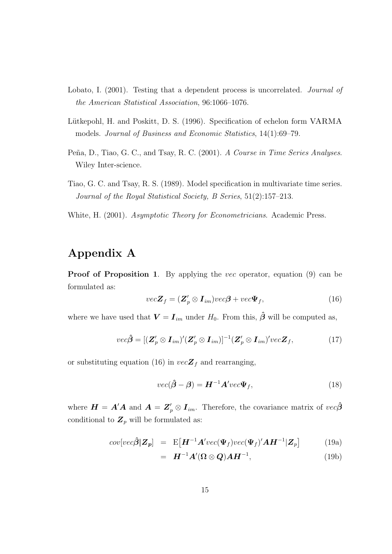- Lobato, I. (2001). Testing that a dependent process is uncorrelated. *Journal of* the American Statistical Association, 96:1066–1076.
- Lütkepohl, H. and Poskitt, D. S. (1996). Specification of echelon form VARMA models. Journal of Business and Economic Statistics, 14(1):69–79.
- Peña, D., Tiao, G. C., and Tsay, R. C. (2001). A Course in Time Series Analyses. Wiley Inter-science.
- Tiao, G. C. and Tsay, R. S. (1989). Model specification in multivariate time series. Journal of the Royal Statistical Society, B Series, 51(2):157–213.
- White, H. (2001). Asymptotic Theory for Econometricians. Academic Press.

# Appendix A

Proof of Proposition 1. By applying the *vec* operator, equation (9) can be formulated as:

$$
vec\mathbf{Z}_f = (\mathbf{Z}_p' \otimes \mathbf{I}_{im})vec\boldsymbol{\beta} + vec\boldsymbol{\Psi}_f, \qquad (16)
$$

where we have used that  $\mathbf{V} = \mathbf{I}_{im}$  under  $H_0$ . From this,  $\hat{\boldsymbol{\beta}}$  will be computed as,

$$
vec\beta = [(\mathbf{Z}_p' \otimes \mathbf{I}_{im})'(\mathbf{Z}_p' \otimes \mathbf{I}_{im})]^{-1}(\mathbf{Z}_p' \otimes \mathbf{I}_{im})'vec\mathbf{Z}_f, \qquad (17)
$$

or substituting equation (16) in  $vec{Z}_f$  and rearranging,

$$
vec(\hat{\boldsymbol{\beta}} - \boldsymbol{\beta}) = \boldsymbol{H}^{-1} \boldsymbol{A}^\prime vec \boldsymbol{\Psi}_f,\tag{18}
$$

where  $\bm{H} = \bm{A}'\bm{A}$  and  $\bm{A} = \bm{Z}'_p \otimes \bm{I}_{im}$ . Therefore, the covariance matrix of  $vec\{\beta}$ conditional to  $\mathbf{Z}_p$  will be formulated as:

$$
cov[vec\mathbf{\beta}|\mathbf{Z}_p] = \mathbf{E}[\mathbf{H}^{-1}\mathbf{A}^\prime vec(\mathbf{\Psi}_f) vec(\mathbf{\Psi}_f)^\prime \mathbf{A} \mathbf{H}^{-1}|\mathbf{Z}_p]
$$
(19a)

$$
= \boldsymbol{H}^{-1} \boldsymbol{A}' (\boldsymbol{\Omega} \otimes \boldsymbol{Q}) \boldsymbol{A} \boldsymbol{H}^{-1}, \tag{19b}
$$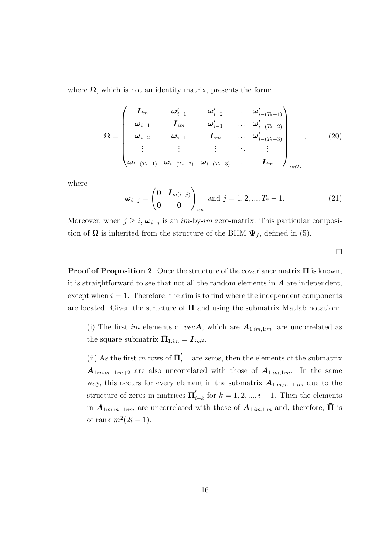where  $\Omega$ , which is not an identity matrix, presents the form:

$$
\Omega = \begin{pmatrix}\nI_{im} & \omega'_{i-1} & \omega'_{i-2} & \dots & \omega'_{i-(T_{*}-1)} \\
\omega_{i-1} & I_{im} & \omega'_{i-1} & \dots & \omega'_{i-(T_{*}-2)} \\
\omega_{i-2} & \omega_{i-1} & I_{im} & \dots & \omega'_{i-(T_{*}-3)} \\
\vdots & \vdots & \vdots & \ddots & \vdots \\
\omega_{i-(T_{*}-1)} & \omega_{i-(T_{*}-2)} & \omega_{i-(T_{*}-3)} & \dots & I_{im}\n\end{pmatrix}_{imT_{*}} (20)
$$

where

$$
\boldsymbol{\omega}_{i-j} = \begin{pmatrix} \mathbf{0} & \mathbf{I}_{m(i-j)} \\ \mathbf{0} & \mathbf{0} \end{pmatrix}_{im} \text{ and } j = 1, 2, ..., T_{*} - 1.
$$
 (21)

Moreover, when  $j \geq i$ ,  $\omega_{i-j}$  is an *im*-by-*im* zero-matrix. This particular composition of  $\Omega$  is inherited from the structure of the BHM  $\Psi_f$ , defined in (5).

 $\Box$ 

**Proof of Proposition 2.** Once the structure of the covariance matrix  $\bar{\Pi}$  is known, it is straightforward to see that not all the random elements in  $A$  are independent, except when  $i = 1$ . Therefore, the aim is to find where the independent components are located. Given the structure of  $\Pi$  and using the submatrix Matlab notation:

(i) The first im elements of vec $A$ , which are  $A_{1:m,1:m}$ , are uncorrelated as the square submatrix  $\bar{\pmb{\Pi}}_{1:im} = \pmb{I}_{im^2}.$ 

(ii) As the first m rows of  $\bar{\mathbf{\Pi}}'_{i}$  $i_{i-1}$  are zeros, then the elements of the submatrix  $A_{1:m,m+1:m+2}$  are also uncorrelated with those of  $A_{1:m,1:m}$ . In the same way, this occurs for every element in the submatrix  $A_{1:m,m+1:im}$  due to the structure of zeros in matrices  $\bar{\Pi}'_i$  $i_{i-k}$  for  $k = 1, 2, ..., i - 1$ . Then the elements in  $A_{1:m,m+1:im}$  are uncorrelated with those of  $A_{1:m,1:m}$  and, therefore,  $\bar{\Pi}$  is of rank  $m^2(2i-1)$ .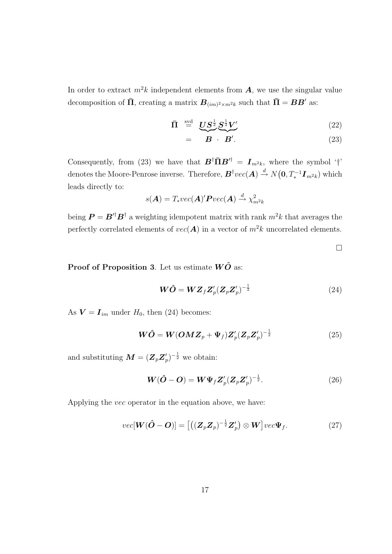In order to extract  $m^2k$  independent elements from  $\boldsymbol{A}$ , we use the singular value decomposition of  $\bar{\Pi}$ , creating a matrix  $\bm{B}_{(im)^2 \times m^2 k}$  such that  $\bar{\Pi} = \bm{B} \bm{B}'$  as:

$$
\bar{\Pi} \stackrel{\text{svd}}{=} \underbrace{US^{\frac{1}{2}}S^{\frac{1}{2}}V'}_{\text{(22)}}
$$

$$
= \overbrace{\boldsymbol{B} \cdot \boldsymbol{B}'}^{(23)}
$$

Consequently, from (23) we have that  $\mathbf{B}^\dagger \bar{\mathbf{\Pi}} \mathbf{B}'^{\dagger} = \mathbf{I}_{m^2k}$ , where the symbol '†' denotes the Moore-Penrose inverse. Therefore,  $B^{\dagger}vec(A) \stackrel{d}{\rightarrow} N(\mathbf{0}, T^{-1}_* \boldsymbol{I}_{m^2k})$  which leads directly to:

$$
s(\mathbf{A}) = T_* vec(\mathbf{A})' \mathbf{P} vec(\mathbf{A}) \stackrel{d}{\rightarrow} \chi^2_{m^2 k}
$$

being  $\boldsymbol{P} = \boldsymbol{B}'^{\dagger} \boldsymbol{B}^{\dagger}$  a weighting idempotent matrix with rank  $m^2 k$  that averages the perfectly correlated elements of  $vec(\mathbf{A})$  in a vector of  $m^2k$  uncorrelated elements.

 $\Box$ 

**Proof of Proposition 3.** Let us estimate  $W\hat{O}$  as:

$$
\boldsymbol{W}\hat{\boldsymbol{O}} = \boldsymbol{W}\boldsymbol{Z}_f \boldsymbol{Z}_p' (\boldsymbol{Z}_p \boldsymbol{Z}_p')^{-\frac{1}{2}} \tag{24}
$$

As  $V = I_{im}$  under  $H_0$ , then (24) becomes:

$$
\boldsymbol{W}\hat{\boldsymbol{O}} = \boldsymbol{W}(\boldsymbol{O} \boldsymbol{M} \boldsymbol{Z}_p + \boldsymbol{\Psi}_f) \boldsymbol{Z}_p' (\boldsymbol{Z}_p \boldsymbol{Z}_p')^{-\frac{1}{2}}
$$
(25)

and substituting  $\boldsymbol{M} = (\boldsymbol{Z}_p \boldsymbol{Z}_p^{\prime})$  $(p')^{-\frac{1}{2}}$  we obtain:

$$
\mathbf{W}(\hat{\mathbf{O}} - \mathbf{O}) = \mathbf{W}\Psi_f \mathbf{Z}_p' (\mathbf{Z}_p \mathbf{Z}_p')^{-\frac{1}{2}}.
$$
 (26)

Applying the vec operator in the equation above, we have:

$$
vec[\mathbf{W}(\hat{\mathbf{O}} - \mathbf{O})] = [((\mathbf{Z}_p \mathbf{Z}_p)^{-\frac{1}{2}} \mathbf{Z}_p') \otimes \mathbf{W}] vec \Psi_f.
$$
 (27)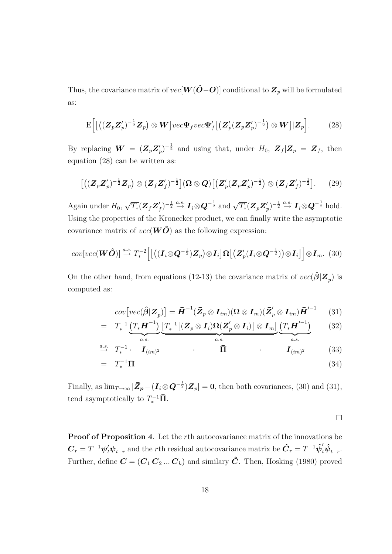Thus, the covariance matrix of  $vec[W(\hat{O}–O)]$  conditional to  $\mathbb{Z}_p$  will be formulated as:

$$
\mathrm{E}\Big[\big[\big((\boldsymbol{Z}_{p}\boldsymbol{Z}_{p}')^{-\frac{1}{2}}\boldsymbol{Z}_{p}\big)\otimes\boldsymbol{W}\big]vec\boldsymbol{V}ec\boldsymbol{\Psi}_{f}vec\boldsymbol{\Psi}_{f'}\big[\big(\boldsymbol{Z}_{p}'(\boldsymbol{Z}_{p}\boldsymbol{Z}_{p}')^{-\frac{1}{2}}\big)\otimes\boldsymbol{W}\big]|\boldsymbol{Z}_{p}\Big].\qquad(28)
$$

By replacing  $\boldsymbol{W} = (\boldsymbol{Z}_p \boldsymbol{Z}_p^{\prime})$  $(p')^{-\frac{1}{2}}$  and using that, under  $H_0$ ,  $\mathbf{Z}_f | \mathbf{Z}_p = \mathbf{Z}_f$ , then equation (28) can be written as:

$$
\left[ \left( (\mathbf{Z}_{p}\mathbf{Z}_{p}')^{-\frac{1}{2}}\mathbf{Z}_{p} \right) \otimes (\mathbf{Z}_{f}\mathbf{Z}_{f}')^{-\frac{1}{2}} \right] (\mathbf{\Omega} \otimes \mathbf{Q}) \left[ (\mathbf{Z}_{p}'(\mathbf{Z}_{p}\mathbf{Z}_{p}')^{-\frac{1}{2}} \right] \otimes (\mathbf{Z}_{f}\mathbf{Z}_{f}')^{-\frac{1}{2}} \right].
$$
 (29)

Again under  $H_0$ , √  $\overline{T_*}({\bm{Z}}_f{\bm{Z}}'$  $(f)^{-\frac{1}{2}} \stackrel{a.s.}{\rightarrow} I_i \otimes Q^{-\frac{1}{2}}$  and  $\sqrt{T_*} (\boldsymbol{Z}_p \boldsymbol{Z}_p^{\prime})$  $(p')^{-\frac{1}{2}}\stackrel{a.s.}{\rightarrow} \boldsymbol{I}_i{\otimes}\boldsymbol{Q}^{-\frac{1}{2}} \text{ hold}.$ Using the properties of the Kronecker product, we can finally write the asymptotic covariance matrix of  $vec(\mathbf{W}\hat{\mathbf{O}})$  as the following expression:

$$
cov[vec(\boldsymbol{W}\hat{\boldsymbol{O}})] \stackrel{a.s.}{\rightarrow} T_*^{-2}\Big[\big[\big((\boldsymbol{I}_i \otimes \boldsymbol{Q}^{-\frac{1}{2}})\boldsymbol{Z}_p\big) \otimes \boldsymbol{I}_i\big] \boldsymbol{\Omega}\big[\big(\boldsymbol{Z}_p'(\boldsymbol{I}_i \otimes \boldsymbol{Q}^{-\frac{1}{2}})\big) \otimes \boldsymbol{I}_i\big]\Big] \otimes \boldsymbol{I}_m. \tag{30}
$$

On the other hand, from equations (12-13) the covariance matrix of  $vec(\hat{\beta}|\mathbf{Z}_p)$  is computed as:

$$
cov\big[vec(\hat{\boldsymbol{\beta}}|\boldsymbol{Z}_p)\big] = \bar{\boldsymbol{H}}^{-1}(\bar{\boldsymbol{Z}}_p \otimes \boldsymbol{I}_{im})(\boldsymbol{\Omega} \otimes \boldsymbol{I}_m)(\bar{\boldsymbol{Z}}_p' \otimes \boldsymbol{I}_{im})\bar{\boldsymbol{H}}'^{-1} \qquad (31)
$$

$$
= T_*^{-1} \underbrace{\left(T_* \bar{\boldsymbol{H}}^{-1}\right)}_{a.s.} \underbrace{\left[T_*^{-1}\left[(\bar{Z}_p \otimes \boldsymbol{I}_i) \Omega(\bar{Z}'_p \otimes \boldsymbol{I}_i)\right] \otimes \boldsymbol{I}_m\right]}_{a.s.} \underbrace{\left(T_* \bar{\boldsymbol{H}}'^{-1}\right)}_{a.s.}
$$
(32)

$$
\stackrel{a.s.}{\rightarrow} T_*^{-1} \cdot \mathbf{I}_{(im)^2} \qquad \qquad \overline{\mathbf{\Pi}} \qquad \qquad \mathbf{I}_{(im)^2} \qquad (33)
$$

$$
= T_*^{-1} \bar{\Pi} \tag{34}
$$

Finally, as  $\lim_{T\to\infty} |\bar{\mathbf{Z}}_p - (\mathbf{I}_i \otimes \mathbf{Q}^{-\frac{1}{2}}) \mathbf{Z}_p| = 0$ , then both covariances, (30) and (31), tend asymptotically to  $T_*^{-1}\bar{\Pi}$ .

 $\Box$ 

Proof of Proposition 4. Let the rth autocovariance matrix of the innovations be  $\bm{C}_r = T^{-1} \bm{\psi}_t' \bm{\psi}_{t-r}$  and the rth residual autocovariance matrix be  $\hat{\bm{C}}_r = T^{-1} \hat{\bm{\psi}}_t' \hat{\bm{\psi}}_{t-r}.$ Further, define  $\mathbf{C} = (\mathbf{C}_1 \mathbf{C}_2 ... \mathbf{C}_k)$  and similary  $\hat{\mathbf{C}}$ . Then, Hosking (1980) proved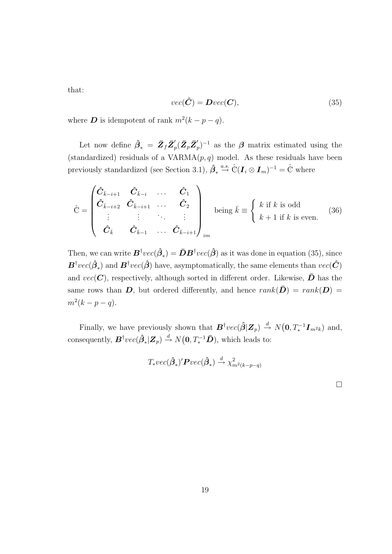that:

$$
vec(\hat{C}) = Dvec(C), \qquad (35)
$$

where **D** is idempotent of rank  $m^2(k - p - q)$ .

Let now define  $\hat{\beta}_* = \bar{Z}_f \bar{Z}_p'$  $_{p}^{\prime}(\bar{\pmb{Z}}_{p}\bar{\pmb{Z}}_{p}^{\prime}% \bar{\pmb{Z}}_{p}^{\prime\prime})\equiv\widetilde{\pmb{Z}}_{p}^{\prime\prime\prime}\otimes\widetilde{\pmb{Z}}_{p}^{\prime\prime\prime}\otimes\widetilde{\pmb{Z}}_{p}^{\prime\prime\prime\prime}.$  $(p')^{-1}$  as the  $\beta$  matrix estimated using the (standardized) residuals of a  $VARMA(p, q)$  model. As these residuals have been previously standardized (see Section 3.1),  $\hat{\beta}_* \stackrel{a.s.}{\rightarrow} \hat{\mathbb{C}}(\mathbf{I}_i \otimes \mathbf{I}_m)^{-1} = \hat{\mathbb{C}}$  where

$$
\hat{\mathbb{C}} = \begin{pmatrix} \hat{C}_{\bar{k}-i+1} & \hat{C}_{\bar{k}-i} & \dots & \hat{C}_1 \\ \hat{C}_{\bar{k}-i+2} & \hat{C}_{\bar{k}-i+1} & \dots & \hat{C}_2 \\ \vdots & \vdots & \ddots & \vdots \\ \hat{C}_{\bar{k}} & \hat{C}_{\bar{k}-1} & \dots & \hat{C}_{\bar{k}-i+1} \end{pmatrix}_{im}
$$
 being  $\bar{k} = \begin{cases} k \text{ if } k \text{ is odd} \\ k+1 \text{ if } k \text{ is even.} \end{cases}$  (36)

Then, we can write  $\bm{B}^\dagger vec(\hat{\bm{\beta}}_*) = \bar{\bm{D}} \bm{B}^\dagger vec(\hat{\bm{\beta}})$  as it was done in equation (35), since  $\bm{B}^\dagger vec(\hat{\bm{\beta}}_*)$  and  $\bm{B}^\dagger vec(\hat{\bm{\beta}})$  have, asymptomatically, the same elements than  $vec(\hat{\bm{C}})$ and  $vec(C)$ , respectively, although sorted in different order. Likewise,  $\bar{D}$  has the same rows than D, but ordered differently, and hence  $rank(\bar{D}) = rank(D)$  $m^2(k-p-q)$ .

Finally, we have previously shown that  $\mathbf{B}^{\dagger}vec(\hat{\boldsymbol{\beta}}|\mathbf{Z}_p) \stackrel{d}{\rightarrow} N(\mathbf{0}, T_*^{-1}\mathbf{I}_{m^2k})$  and, consequently,  $\bm{B}^{\dagger}vec(\hat{\bm{\beta}}_*|\bm{Z}_p)\overset{d}{\rightarrow} N\big(\bm{0},T_*^{-1}\bar{\bm{D}}),$  which leads to:

$$
T_*vec(\hat{\boldsymbol{\beta}}_*)'\boldsymbol{P}vec(\hat{\boldsymbol{\beta}}_*) \xrightarrow{d} \chi^2_{m^2(k-p-q)}
$$

 $\Box$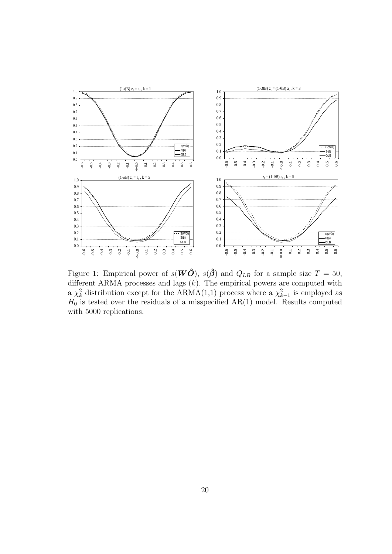

Figure 1: Empirical power of  $s(W\hat{O})$ ,  $s(\hat{\beta})$  and  $Q_{LB}$  for a sample size  $T = 50$ , different ARMA processes and lags  $(k)$ . The empirical powers are computed with a  $\chi^2_k$  distribution except for the ARMA(1,1) process where a  $\chi^2_{k-1}$  is employed as  $H_0$  is tested over the residuals of a misspecified  $AR(1)$  model. Results computed with 5000 replications.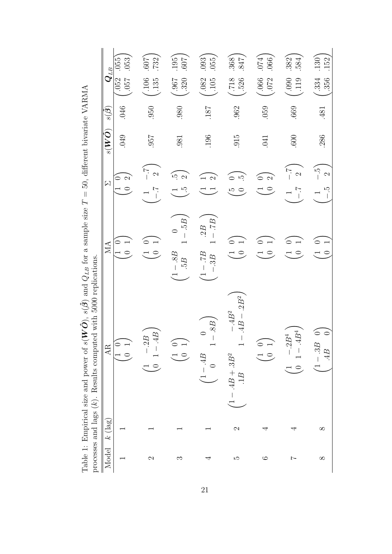|                                                                                                            |                       | 053<br>.055                                    | $\sqrt{209}$ .<br>.732, | (195)<br>(100.                                    | (093)<br>.055,                              | .368<br>.847                                   | (174)<br>.066            | .382(<br>584                      | $\binom{130}{152}$       |
|------------------------------------------------------------------------------------------------------------|-----------------------|------------------------------------------------|-------------------------|---------------------------------------------------|---------------------------------------------|------------------------------------------------|--------------------------|-----------------------------------|--------------------------|
|                                                                                                            | $\boldsymbol{Q}_{LB}$ | .052<br><b>LSO</b> .                           | $-135$                  | $-330$                                            | $-105$                                      | $-526$                                         | $-0.066$                 | 611.                              | .334<br>356              |
|                                                                                                            | $s(\vec{\beta})$      | 046                                            | 050                     | .980                                              | <b>187</b>                                  | .962                                           | .059                     | .669                              | .481                     |
|                                                                                                            | $\delta(W\tilde{O})$  | $049$                                          | <b>1957</b>             | .981                                              | <b>196</b>                                  | .915                                           | .041                     | .600                              | 286                      |
|                                                                                                            | $\mathsf{N}$          | $\mathfrak{D}$<br>$\circ$                      | $\sum_{i=1}^{n}$        | $\tilde{\mathfrak{S}}$<br>$\mathbf{\Omega}$<br>ŗĊ | $\infty$                                    | $\tilde{\mathcal{L}}$<br>$\tilde{E}$           | $\sim$<br>$\overline{C}$ | $\sum_{i=2}^{n}$<br>$\frac{1}{1}$ | ن<br>ت                   |
| s( $W$ ), s( $Z$ ) and $Q_{LB}$ for a sample size $I = 50$ , different bivariate VAKMA                     | $M\Lambda$            | $\begin{pmatrix} 1 & 0 \\ 0 & 1 \end{pmatrix}$ | $\overline{C}$          | 95<br>$\circ$<br>$-8B$<br>5B.                     | $-7B$<br>.2B<br>$\overline{d}L$ –<br>$-.3B$ | $\sigma$<br>$\overline{C}$                     | $\circ$                  | $\overline{C}$                    | $\overline{C}$           |
| processes and lags $(k)$ . Results computed with 5000 replications.<br>Table 1: Emprical size and power of | AR.                   | $\overline{\phantom{0}}$                       | 4B<br>$-.2B$<br>$\cup$  |                                                   | $-.8B$<br>$\circ$<br>4B                     | $-.4B^2$<br>$.4B - .2B^2$<br>$4B + 3B^2$<br>1B | $\overline{\phantom{0}}$ | 4B <sup>4</sup><br>$\cdot .2B^4$  | $\circ$<br>$\circ$<br>4B |
|                                                                                                            | $(\log$<br>جح         |                                                |                         |                                                   |                                             | $\mathcal{C}$                                  | ↤                        | ₹                                 | $\infty$                 |
|                                                                                                            | Model                 |                                                | $\mathfrak{a}$          | S                                                 | ₹                                           | LΩ                                             | $\circ$                  | $\sim$                            | $\infty$                 |

 $3.42$   $37$  D M A β) and  $Q_{LB}$  for a sample size  $T = 50$ , different bivariate VARMA  $-1.1$  $\ddot{\pi}$  $\tilde{C}$  $\overline{5}$  $\epsilon$  $\frac{C}{d}$  $\hat{\mathcal{O}}$ ),  $s(\hat{\mathcal{\beta}}$ Table 1: Empirical size and power of  $s(W)$ <br>processes and lags  $(k)$  Results computed v Ė  $\mathbf{r}$ Table